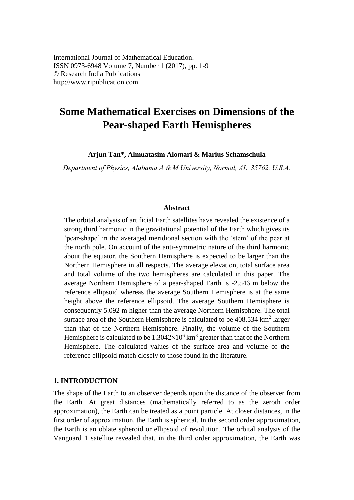# **Some Mathematical Exercises on Dimensions of the Pear-shaped Earth Hemispheres**

**Arjun Tan\*, Almuatasim Alomari & Marius Schamschula** 

*Department of Physics, Alabama A & M University, Normal, AL 35762, U.S.A.* 

#### **Abstract**

The orbital analysis of artificial Earth satellites have revealed the existence of a strong third harmonic in the gravitational potential of the Earth which gives its 'pear-shape' in the averaged meridional section with the 'stem' of the pear at the north pole. On account of the anti-symmetric nature of the third harmonic about the equator, the Southern Hemisphere is expected to be larger than the Northern Hemisphere in all respects. The average elevation, total surface area and total volume of the two hemispheres are calculated in this paper. The average Northern Hemisphere of a pear-shaped Earth is -2.546 m below the reference ellipsoid whereas the average Southern Hemisphere is at the same height above the reference ellipsoid. The average Southern Hemisphere is consequently 5.092 m higher than the average Northern Hemisphere. The total surface area of the Southern Hemisphere is calculated to be  $408.534 \text{ km}^2$  larger than that of the Northern Hemisphere. Finally, the volume of the Southern Hemisphere is calculated to be  $1.3042\times10^6$  km<sup>3</sup> greater than that of the Northern Hemisphere. The calculated values of the surface area and volume of the reference ellipsoid match closely to those found in the literature.

## **1. INTRODUCTION**

The shape of the Earth to an observer depends upon the distance of the observer from the Earth. At great distances (mathematically referred to as the zeroth order approximation), the Earth can be treated as a point particle. At closer distances, in the first order of approximation, the Earth is spherical. In the second order approximation, the Earth is an oblate spheroid or ellipsoid of revolution. The orbital analysis of the Vanguard 1 satellite revealed that, in the third order approximation, the Earth was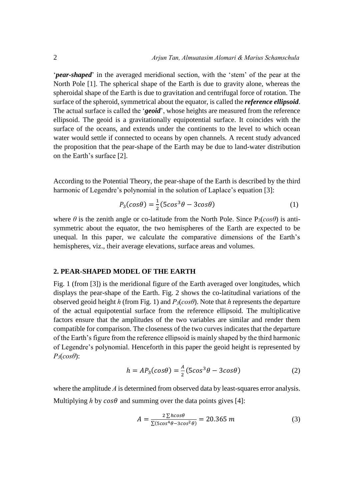'*pear-shaped*' in the averaged meridional section, with the 'stem' of the pear at the North Pole [1]. The spherical shape of the Earth is due to gravity alone, whereas the spheroidal shape of the Earth is due to gravitation and centrifugal force of rotation. The surface of the spheroid, symmetrical about the equator, is called the *reference ellipsoid*. The actual surface is called the '*geoid*', whose heights are measured from the reference ellipsoid. The geoid is a gravitationally equipotential surface. It coincides with the surface of the oceans, and extends under the continents to the level to which ocean water would settle if connected to oceans by open channels. A recent study advanced the proposition that the pear-shape of the Earth may be due to land-water distribution on the Earth's surface [2].

According to the Potential Theory, the pear-shape of the Earth is described by the third harmonic of Legendre's polynomial in the solution of Laplace's equation [3]:

$$
P_3(cos\theta) = \frac{1}{2}(5cos^3\theta - 3cos\theta)
$$
 (1)

where  $\theta$  is the zenith angle or co-latitude from the North Pole. Since  $P_3(cos\theta)$  is antisymmetric about the equator, the two hemispheres of the Earth are expected to be unequal. In this paper, we calculate the comparative dimensions of the Earth's hemispheres, viz., their average elevations, surface areas and volumes.

## **2. PEAR-SHAPED MODEL OF THE EARTH**

Fig. 1 (from [3]) is the meridional figure of the Earth averaged over longitudes, which displays the pear-shape of the Earth. Fig. 2 shows the co-latitudinal variations of the observed geoid height *h* (from Fig. 1) and *P3*(*cosθ*). Note that *h* represents the departure of the actual equipotential surface from the reference ellipsoid. The multiplicative factors ensure that the amplitudes of the two variables are similar and render them compatible for comparison. The closeness of the two curves indicates that the departure of the Earth's figure from the reference ellipsoid is mainly shaped by the third harmonic of Legendre's polynomial. Henceforth in this paper the geoid height is represented by *P3*(*cosθ*):

$$
h = AP_3(cos\theta) = \frac{A}{2}(5cos^3\theta - 3cos\theta)
$$
 (2)

where the amplitude *A* is determined from observed data by least-squares error analysis. Multiplying *h* by  $cos\theta$  and summing over the data points gives [4]:

$$
A = \frac{2\sum h cos \theta}{\sum (5cos^4 \theta - 3cos^2 \theta)} = 20.365 \, m \tag{3}
$$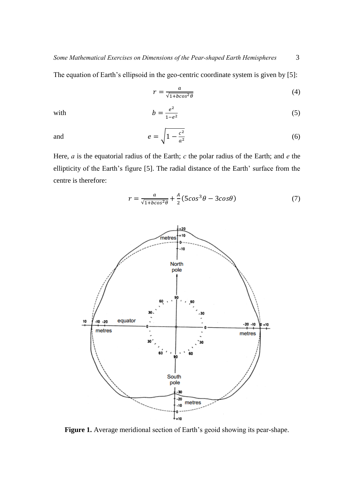The equation of Earth's ellipsoid in the geo-centric coordinate system is given by [5]:

$$
r = \frac{a}{\sqrt{1 + b \cos^2 \theta}}\tag{4}
$$

with 
$$
b = \frac{e^2}{1 - e^2} \tag{5}
$$

and 
$$
e = \sqrt{1 - \frac{c^2}{a^2}}
$$
 (6)

Here, *a* is the equatorial radius of the Earth; *c* the polar radius of the Earth; and *e* the ellipticity of the Earth's figure [5]. The radial distance of the Earth' surface from the centre is therefore:

$$
r = \frac{a}{\sqrt{1 + b\cos^2\theta}} + \frac{A}{2} (5\cos^3\theta - 3\cos\theta)
$$
 (7)



**Figure 1.** Average meridional section of Earth's geoid showing its pear-shape.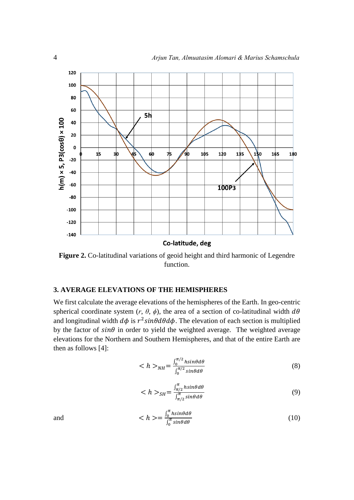

**Figure 2.** Co-latitudinal variations of geoid height and third harmonic of Legendre function.

## **3. AVERAGE ELEVATIONS OF THE HEMISPHERES**

We first calculate the average elevations of the hemispheres of the Earth. In geo-centric spherical coordinate system  $(r, \theta, \phi)$ , the area of a section of co-latitudinal width  $d\theta$ and longitudinal width  $d\phi$  is  $r^2 sin\theta d\theta d\phi$ . The elevation of each section is multiplied by the factor of  $sin\theta$  in order to yield the weighted average. The weighted average elevations for the Northern and Southern Hemispheres, and that of the entire Earth are then as follows [4]:

$$
\langle h \rangle_{NH} = \frac{\int_0^{\pi/2} h \sin \theta d\theta}{\int_0^{\pi/2} \sin \theta d\theta} \tag{8}
$$

$$
\langle h \rangle_{SH} = \frac{\int_{\pi/2}^{\pi} h \sin \theta d\theta}{\int_{\pi/2}^{\pi} \sin \theta d\theta} \tag{9}
$$

and 
$$
\langle h \rangle = \frac{\int_0^{\pi} h \sin \theta d\theta}{\int_0^{\pi} \sin \theta d\theta}
$$
 (10)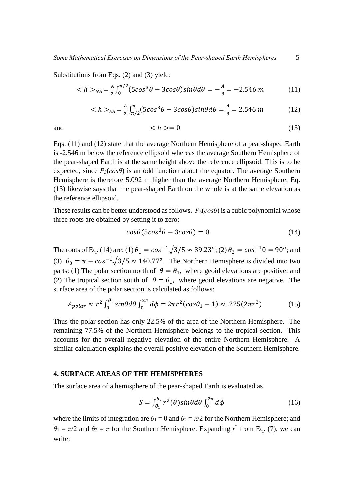Substitutions from Eqs. (2) and (3) yield:

$$
\langle h \rangle_{NH} = \frac{A}{2} \int_0^{\pi/2} (5\cos^3\theta - 3\cos\theta)\sin\theta d\theta = -\frac{A}{8} = -2.546 \, m \tag{11}
$$

$$
\langle h \rangle_{SH} = \frac{A}{2} \int_{\pi/2}^{\pi} (5\cos^3\theta - 3\cos\theta)\sin\theta d\theta = \frac{A}{8} = 2.546 \, m \tag{12}
$$

$$
\langle h \rangle = 0 \tag{13}
$$

Eqs. (11) and (12) state that the average Northern Hemisphere of a pear-shaped Earth is -2.546 m below the reference ellipsoid whereas the average Southern Hemisphere of the pear-shaped Earth is at the same height above the reference ellipsoid. This is to be expected, since  $P_3(cos\theta)$  is an odd function about the equator. The average Southern Hemisphere is therefore 5.092 m higher than the average Northern Hemisphere. Eq. (13) likewise says that the pear-shaped Earth on the whole is at the same elevation as the reference ellipsoid.

These results can be better understood as follows. *P*3(*cosθ*) is a cubic polynomial whose three roots are obtained by setting it to zero:

$$
cos\theta(5cos^3\theta - 3cos\theta) = 0
$$
\n(14)

The roots of Eq. (14) are: (1)  $\theta_1 = \cos^{-1}\sqrt{3/5} \approx 39.23^{\circ}$ ; (2)  $\theta_2 = \cos^{-1}0 = 90^{\circ}$ ; and (3)  $\theta_3 = \pi - \cos^{-1}\sqrt{3/5} \approx 140.77^\circ$ . The Northern Hemisphere is divided into two parts: (1) The polar section north of  $\theta = \theta_1$ , where geoid elevations are positive; and (2) The tropical section south of  $\theta = \theta_1$ , where geoid elevations are negative. The surface area of the polar section is calculated as follows:

$$
A_{polar} \approx r^2 \int_0^{\theta_1} \sin\theta d\theta \int_0^{2\pi} d\phi = 2\pi r^2 (\cos\theta_1 - 1) \approx .225(2\pi r^2) \tag{15}
$$

Thus the polar section has only 22.5% of the area of the Northern Hemisphere. The remaining 77.5% of the Northern Hemisphere belongs to the tropical section. This accounts for the overall negative elevation of the entire Northern Hemisphere. A similar calculation explains the overall positive elevation of the Southern Hemisphere.

## **4. SURFACE AREAS OF THE HEMISPHERES**

The surface area of a hemisphere of the pear-shaped Earth is evaluated as

$$
S = \int_{\theta_1}^{\theta_2} r^2(\theta) sin\theta d\theta \int_0^{2\pi} d\phi
$$
 (16)

where the limits of integration are  $\theta_1 = 0$  and  $\theta_2 = \pi/2$  for the Northern Hemisphere; and  $\theta_1 = \pi/2$  and  $\theta_2 = \pi$  for the Southern Hemisphere. Expanding  $r^2$  from Eq. (7), we can write: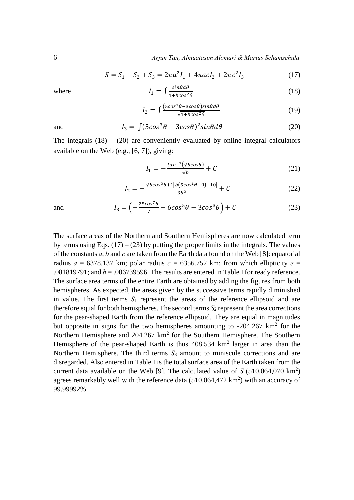6 *Arjun Tan, Almuatasim Alomari & Marius Schamschula* 

$$
S = S_1 + S_2 + S_3 = 2\pi a^2 I_1 + 4\pi a c I_2 + 2\pi c^2 I_3 \tag{17}
$$

where

$$
I_1 = \int \frac{\sinh(\theta)}{1 + b\cos^2(\theta)}\tag{18}
$$

$$
I_2 = \int \frac{(5\cos^3\theta - 3\cos\theta)\sin\theta d\theta}{\sqrt{1 + b\cos^2\theta}}\tag{19}
$$

and 
$$
I_3 = \int (5\cos^3\theta - 3\cos\theta)^2 \sin\theta d\theta
$$
 (20)

The integrals  $(18) - (20)$  are conveniently evaluated by online integral calculators available on the Web (e.g., [6, 7]), giving:

 $\cdot$  0  $\cdot$  0

$$
I_1 = -\frac{\tan^{-1}(\sqrt{b}\cos\theta)}{\sqrt{b}} + C \tag{21}
$$

$$
I_2 = -\frac{\sqrt{b\cos^2\theta + 1}[b(5\cos^2\theta - 9) - 10]}{3b^2} + C \tag{22}
$$

and 
$$
I_3 = \left(-\frac{25\cos^7\theta}{7} + 6\cos^5\theta - 3\cos^3\theta\right) + C
$$
 (23)

The surface areas of the Northern and Southern Hemispheres are now calculated term by terms using Eqs.  $(17) - (23)$  by putting the proper limits in the integrals. The values of the constants *a*, *b* and *c* are taken from the Earth data found on the Web [8]: equatorial radius  $a = 6378.137$  km; polar radius  $c = 6356.752$  km; from which ellipticity  $e =$ .081819791; and  $b = 0.006739596$ . The results are entered in Table I for ready reference. The surface area terms of the entire Earth are obtained by adding the figures from both hemispheres. As expected, the areas given by the successive terms rapidly diminished in value. The first terms  $S_1$  represent the areas of the reference ellipsoid and are therefore equal for both hemispheres. The second terms *S*2 represent the area corrections for the pear-shaped Earth from the reference ellipsoid. They are equal in magnitudes but opposite in signs for the two hemispheres amounting to  $-204.267 \text{ km}^2$  for the Northern Hemisphere and  $204.267 \text{ km}^2$  for the Southern Hemisphere. The Southern Hemisphere of the pear-shaped Earth is thus  $408.534 \text{ km}^2$  larger in area than the Northern Hemisphere. The third terms  $S_3$  amount to miniscule corrections and are disregarded. Also entered in Table I is the total surface area of the Earth taken from the current data available on the Web [9]. The calculated value of  $S(510,064,070 \text{ km}^2)$ agrees remarkably well with the reference data  $(510,064,472 \text{ km}^2)$  with an accuracy of 99.99992%.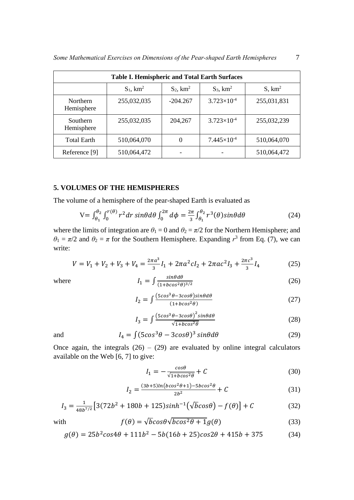| <b>Table I. Hemispheric and Total Earth Surfaces</b> |                |                |                        |                    |  |  |  |  |
|------------------------------------------------------|----------------|----------------|------------------------|--------------------|--|--|--|--|
|                                                      | $S_1$ , $km^2$ | $S_2$ , $km^2$ | $S_3$ , $km^2$         | S, km <sup>2</sup> |  |  |  |  |
| Northern<br>Hemisphere                               | 255,032,035    | $-204.267$     | $3.723 \times 10^{-4}$ | 255,031,831        |  |  |  |  |
| Southern<br>Hemisphere                               | 255,032,035    | 204,267        | $3.723 \times 10^{-4}$ | 255,032,239        |  |  |  |  |
| <b>Total Earth</b>                                   | 510,064,070    | 0              | $7.445\times10^{-4}$   | 510,064,070        |  |  |  |  |
| Reference [9]                                        | 510,064,472    |                |                        | 510,064,472        |  |  |  |  |

## **5. VOLUMES OF THE HEMISPHERES**

The volume of a hemisphere of the pear-shaped Earth is evaluated as

$$
V = \int_{\theta_1}^{\theta_2} \int_0^{r(\theta)} r^2 dr \sin\theta d\theta \int_0^{2\pi} d\phi = \frac{2\pi}{3} \int_{\theta_1}^{\theta_2} r^3(\theta) \sin\theta d\theta \tag{24}
$$

where the limits of integration are  $\theta_1 = 0$  and  $\theta_2 = \pi/2$  for the Northern Hemisphere; and  $\theta_1 = \pi/2$  and  $\theta_2 = \pi$  for the Southern Hemisphere. Expanding  $r^3$  from Eq. (7), we can write:

$$
V = V_1 + V_2 + V_3 + V_4 = \frac{2\pi a^3}{3}I_1 + 2\pi a^2 c I_2 + 2\pi a c^2 I_3 + \frac{2\pi c^3}{3}I_4
$$
 (25)

where  $1_1$ 

$$
_{1} = \int \frac{\sin \theta d\theta}{(1 + b \cos^{2} \theta)^{3/2}} \tag{26}
$$

$$
I_2 = \int \frac{(5\cos^3\theta - 3\cos\theta)\sin\theta d\theta}{(1 + b\cos^2\theta)}\tag{27}
$$

$$
I_3 = \int \frac{\left(5\cos^3\theta - 3\cos\theta\right)^2 \sin\theta d\theta}{\sqrt{1 + b\cos^2\theta}}\tag{28}
$$

and 
$$
I_4 = \int (5\cos^3\theta - 3\cos\theta)^3 \sin\theta d\theta
$$
 (29)

Once again, the integrals  $(26) - (29)$  are evaluated by online integral calculators available on the Web [6, 7] to give:

$$
I_1 = -\frac{\cos\theta}{\sqrt{1 + b\cos^2\theta}} + C \tag{30}
$$

$$
I_2 = \frac{(3b+5)ln(b\cos^2\theta + 1) - 5bcos^2\theta}{2b^2} + C \tag{31}
$$

$$
I_3 = \frac{1}{48b^{7/2}} \left[ 3(72b^2 + 180b + 125)\sinh^{-1}(\sqrt{b}\cos\theta) - f(\theta) \right] + C \tag{32}
$$

with 
$$
f(\theta) = \sqrt{b} \cos \theta \sqrt{b} \cos^2 \theta + \mathbf{1} g(\theta)
$$
 (33)

$$
g(\theta) = 25b^2\cos 4\theta + 111b^2 - 5b(16b + 25)\cos 2\theta + 415b + 375
$$
 (34)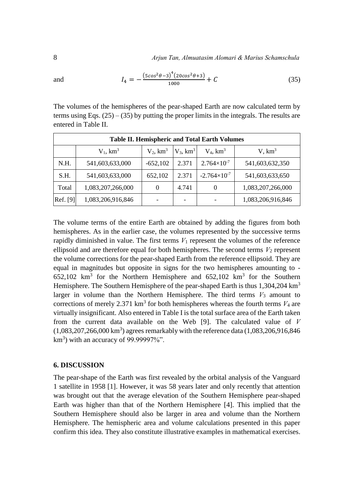8 *Arjun Tan, Almuatasim Alomari & Marius Schamschula* 

and  $I_4 = -\frac{(5cos^2\theta - 3)^4(20cos^2\theta + 3)}{1000}$ 1000  $(35)$ 

The volumes of the hemispheres of the pear-shaped Earth are now calculated term by terms using Eqs.  $(25) - (35)$  by putting the proper limits in the integrals. The results are entered in Table II.

| <b>Table II. Hemispheric and Total Earth Volumes</b> |                   |                |                         |                        |                    |  |  |
|------------------------------------------------------|-------------------|----------------|-------------------------|------------------------|--------------------|--|--|
|                                                      | $V_1$ , $km^3$    | $V_2$ , $km^3$ | $V_3$ , km <sup>3</sup> | $V_4$ , $km^3$         | V, km <sup>3</sup> |  |  |
| N.H.                                                 | 541,603,633,000   | $-652,102$     | 2.371                   | $2.764 \times 10^{-7}$ | 541,603,632,350    |  |  |
| S.H.                                                 | 541,603,633,000   | 652,102        | 2.371                   | $-2.764\times10^{-7}$  | 541,603,633,650    |  |  |
| Total                                                | 1,083,207,266,000 | 0              | 4.741                   | $\theta$               | 1,083,207,266,000  |  |  |
| Ref. [9]                                             | 1,083,206,916,846 |                |                         |                        | 1,083,206,916,846  |  |  |

The volume terms of the entire Earth are obtained by adding the figures from both hemispheres. As in the earlier case, the volumes represented by the successive terms rapidly diminished in value. The first terms  $V_1$  represent the volumes of the reference ellipsoid and are therefore equal for both hemispheres. The second terms  $V_2$  represent the volume corrections for the pear-shaped Earth from the reference ellipsoid. They are equal in magnitudes but opposite in signs for the two hemispheres amounting to -  $652,102$  km<sup>3</sup> for the Northern Hemisphere and  $652,102$  km<sup>3</sup> for the Southern Hemisphere. The Southern Hemisphere of the pear-shaped Earth is thus 1,304,204 km<sup>3</sup> larger in volume than the Northern Hemisphere. The third terms  $V_3$  amount to corrections of merely 2.371  $km^3$  for both hemispheres whereas the fourth terms  $V_4$  are virtually insignificant. Also entered in Table I is the total surface area of the Earth taken from the current data available on the Web [9]. The calculated value of *V*  $(1,083,207,266,000 \text{ km}^3)$  agrees remarkably with the reference data  $(1,083,206,916,846)$  $km<sup>3</sup>$ ) with an accuracy of 99.99997%".

## **6. DISCUSSION**

The pear-shape of the Earth was first revealed by the orbital analysis of the Vanguard 1 satellite in 1958 [1]. However, it was 58 years later and only recently that attention was brought out that the average elevation of the Southern Hemisphere pear-shaped Earth was higher than that of the Northern Hemisphere [4]. This implied that the Southern Hemisphere should also be larger in area and volume than the Northern Hemisphere. The hemispheric area and volume calculations presented in this paper confirm this idea. They also constitute illustrative examples in mathematical exercises.